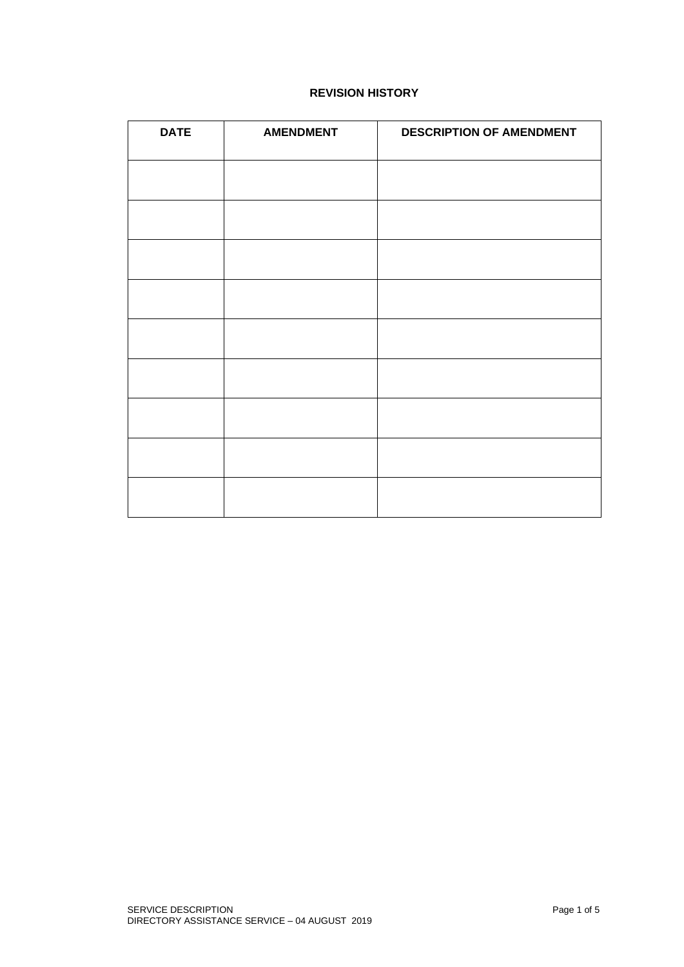## **REVISION HISTORY**

| <b>DATE</b> | <b>AMENDMENT</b> | <b>DESCRIPTION OF AMENDMENT</b> |
|-------------|------------------|---------------------------------|
|             |                  |                                 |
|             |                  |                                 |
|             |                  |                                 |
|             |                  |                                 |
|             |                  |                                 |
|             |                  |                                 |
|             |                  |                                 |
|             |                  |                                 |
|             |                  |                                 |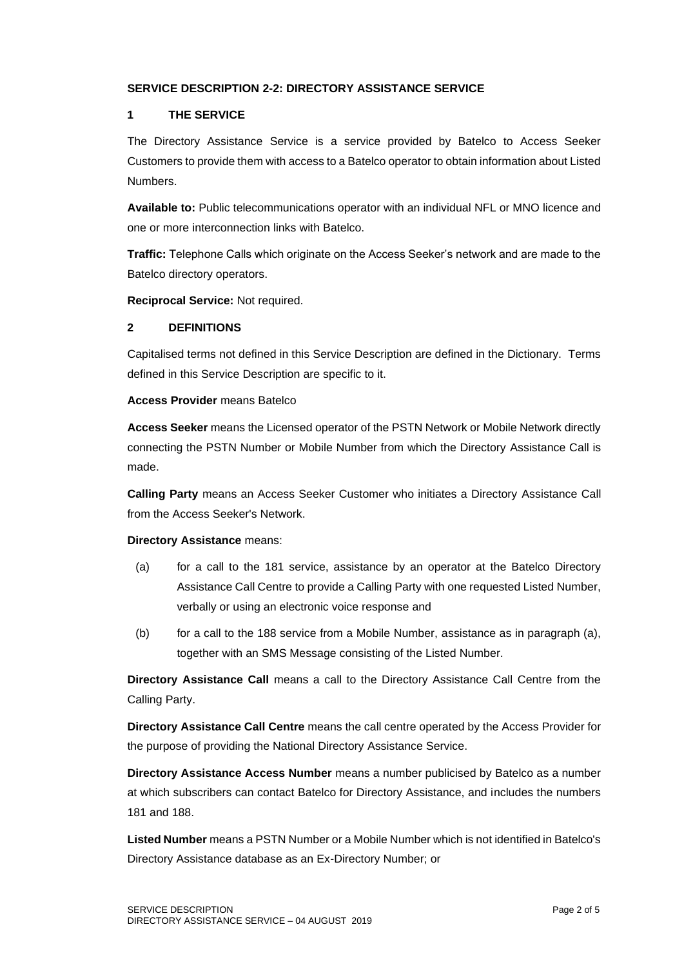### **SERVICE DESCRIPTION 2-2: DIRECTORY ASSISTANCE SERVICE**

#### **1 THE SERVICE**

The Directory Assistance Service is a service provided by Batelco to Access Seeker Customers to provide them with access to a Batelco operator to obtain information about Listed Numbers.

**Available to:** Public telecommunications operator with an individual NFL or MNO licence and one or more interconnection links with Batelco.

**Traffic:** Telephone Calls which originate on the Access Seeker's network and are made to the Batelco directory operators.

**Reciprocal Service:** Not required.

#### **2 DEFINITIONS**

Capitalised terms not defined in this Service Description are defined in the Dictionary. Terms defined in this Service Description are specific to it.

**Access Provider** means Batelco

**Access Seeker** means the Licensed operator of the PSTN Network or Mobile Network directly connecting the PSTN Number or Mobile Number from which the Directory Assistance Call is made.

**Calling Party** means an Access Seeker Customer who initiates a Directory Assistance Call from the Access Seeker's Network.

#### **Directory Assistance** means:

- (a) for a call to the 181 service, assistance by an operator at the Batelco Directory Assistance Call Centre to provide a Calling Party with one requested Listed Number, verbally or using an electronic voice response and
- (b) for a call to the 188 service from a Mobile Number, assistance as in paragraph (a), together with an SMS Message consisting of the Listed Number.

**Directory Assistance Call** means a call to the Directory Assistance Call Centre from the Calling Party.

**Directory Assistance Call Centre** means the call centre operated by the Access Provider for the purpose of providing the National Directory Assistance Service.

**Directory Assistance Access Number** means a number publicised by Batelco as a number at which subscribers can contact Batelco for Directory Assistance, and includes the numbers 181 and 188.

**Listed Number** means a PSTN Number or a Mobile Number which is not identified in Batelco's Directory Assistance database as an Ex-Directory Number; or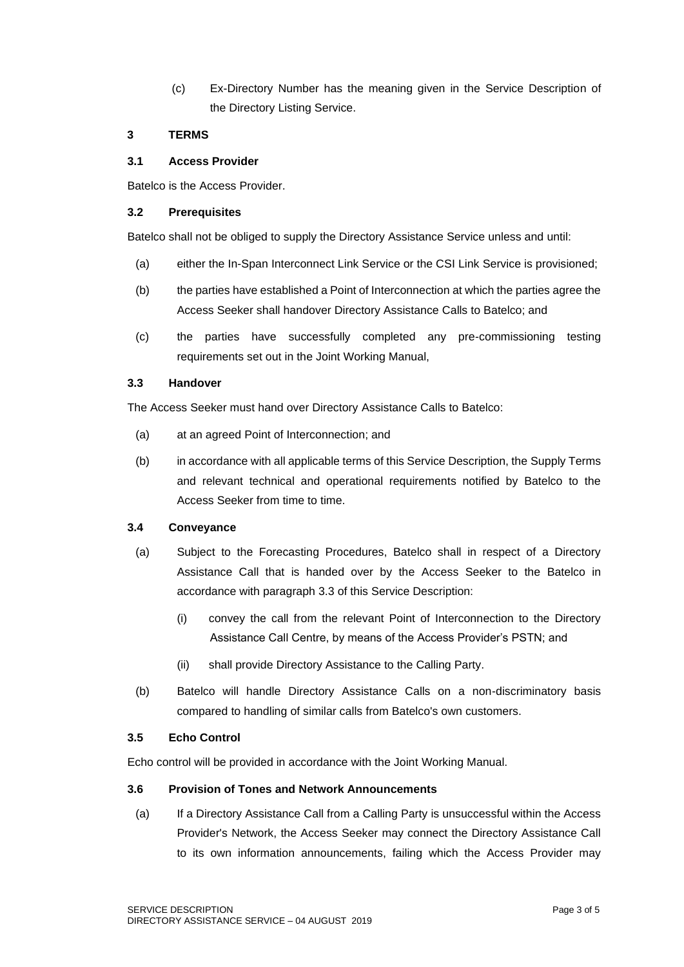(c) Ex-Directory Number has the meaning given in the Service Description of the Directory Listing Service.

### **3 TERMS**

#### **3.1 Access Provider**

Batelco is the Access Provider.

#### **3.2 Prerequisites**

Batelco shall not be obliged to supply the Directory Assistance Service unless and until:

- (a) either the In-Span Interconnect Link Service or the CSI Link Service is provisioned;
- (b) the parties have established a Point of Interconnection at which the parties agree the Access Seeker shall handover Directory Assistance Calls to Batelco; and
- (c) the parties have successfully completed any pre-commissioning testing requirements set out in the Joint Working Manual,

#### **3.3 Handover**

The Access Seeker must hand over Directory Assistance Calls to Batelco:

- (a) at an agreed Point of Interconnection; and
- (b) in accordance with all applicable terms of this Service Description, the Supply Terms and relevant technical and operational requirements notified by Batelco to the Access Seeker from time to time.

## **3.4 Conveyance**

- (a) Subject to the Forecasting Procedures, Batelco shall in respect of a Directory Assistance Call that is handed over by the Access Seeker to the Batelco in accordance with paragraph 3.3 of this Service Description:
	- (i) convey the call from the relevant Point of Interconnection to the Directory Assistance Call Centre, by means of the Access Provider's PSTN; and
	- (ii) shall provide Directory Assistance to the Calling Party.
- (b) Batelco will handle Directory Assistance Calls on a non-discriminatory basis compared to handling of similar calls from Batelco's own customers.

### **3.5 Echo Control**

Echo control will be provided in accordance with the Joint Working Manual.

#### **3.6 Provision of Tones and Network Announcements**

(a) If a Directory Assistance Call from a Calling Party is unsuccessful within the Access Provider's Network, the Access Seeker may connect the Directory Assistance Call to its own information announcements, failing which the Access Provider may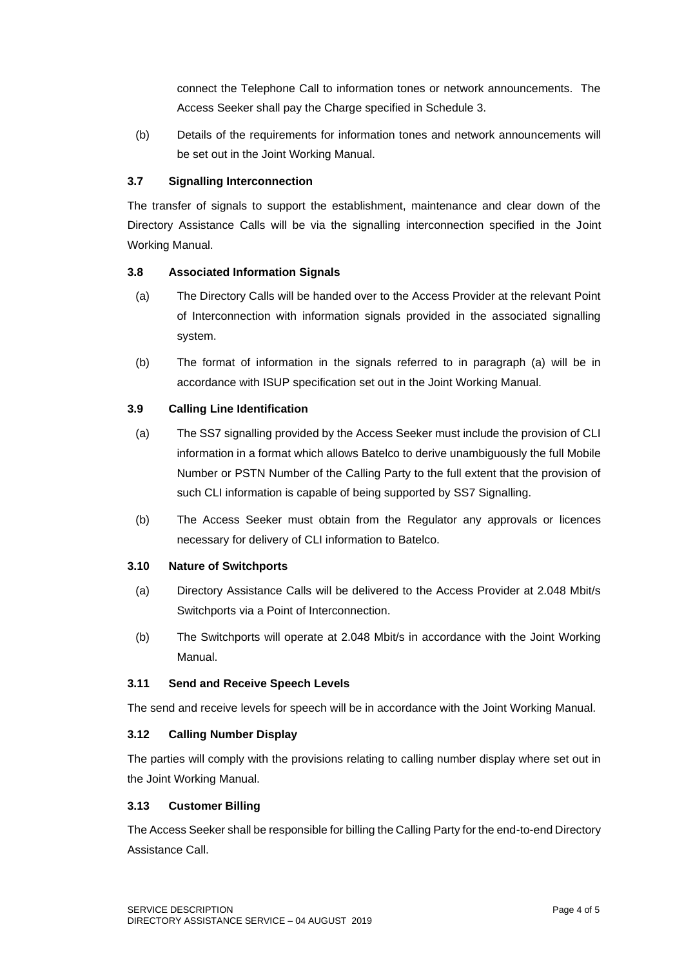connect the Telephone Call to information tones or network announcements. The Access Seeker shall pay the Charge specified in Schedule 3.

(b) Details of the requirements for information tones and network announcements will be set out in the Joint Working Manual.

# **3.7 Signalling Interconnection**

The transfer of signals to support the establishment, maintenance and clear down of the Directory Assistance Calls will be via the signalling interconnection specified in the Joint Working Manual.

# **3.8 Associated Information Signals**

- (a) The Directory Calls will be handed over to the Access Provider at the relevant Point of Interconnection with information signals provided in the associated signalling system.
- (b) The format of information in the signals referred to in paragraph (a) will be in accordance with ISUP specification set out in the Joint Working Manual.

# **3.9 Calling Line Identification**

- (a) The SS7 signalling provided by the Access Seeker must include the provision of CLI information in a format which allows Batelco to derive unambiguously the full Mobile Number or PSTN Number of the Calling Party to the full extent that the provision of such CLI information is capable of being supported by SS7 Signalling.
- (b) The Access Seeker must obtain from the Regulator any approvals or licences necessary for delivery of CLI information to Batelco.

## **3.10 Nature of Switchports**

- (a) Directory Assistance Calls will be delivered to the Access Provider at 2.048 Mbit/s Switchports via a Point of Interconnection.
- (b) The Switchports will operate at 2.048 Mbit/s in accordance with the Joint Working Manual.

### **3.11 Send and Receive Speech Levels**

The send and receive levels for speech will be in accordance with the Joint Working Manual.

### **3.12 Calling Number Display**

The parties will comply with the provisions relating to calling number display where set out in the Joint Working Manual.

### **3.13 Customer Billing**

The Access Seeker shall be responsible for billing the Calling Party for the end-to-end Directory Assistance Call.